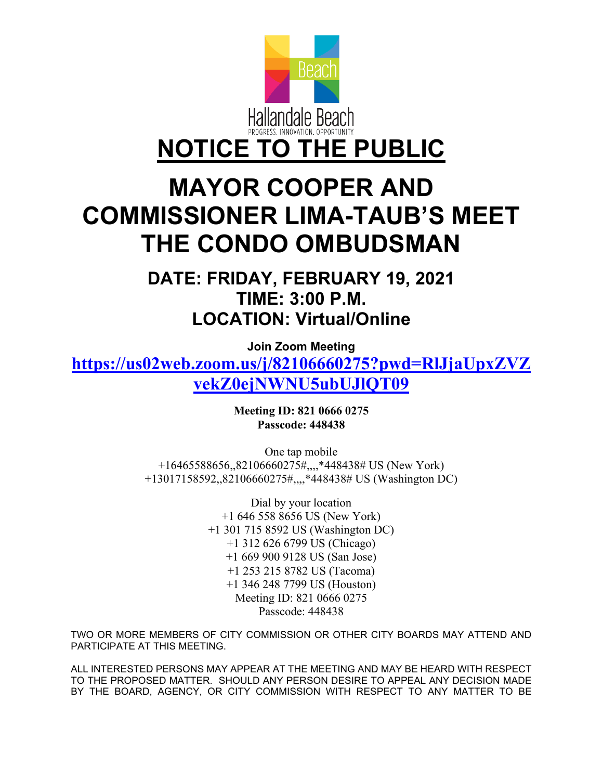

## **MAYOR COOPER AND COMMISSIONER LIMA-TAUB'S MEET THE CONDO OMBUDSMAN**

**DATE: FRIDAY, FEBRUARY 19, 2021 TIME: 3:00 P.M. LOCATION: Virtual/Online**

**Join Zoom Meeting**

**[https://us02web.zoom.us/j/82106660275?pwd=RlJjaUpxZVZ](https://us02web.zoom.us/j/82106660275?pwd=RlJjaUpxZVZvekZ0ejNWNU5ubUJlQT09) [vekZ0ejNWNU5ubUJlQT09](https://us02web.zoom.us/j/82106660275?pwd=RlJjaUpxZVZvekZ0ejNWNU5ubUJlQT09)**

> **Meeting ID: 821 0666 0275 Passcode: 448438**

One tap mobile +16465588656,,82106660275#,,,,\*448438# US (New York) +13017158592,,82106660275#,,,,\*448438# US (Washington DC)

> Dial by your location +1 646 558 8656 US (New York) +1 301 715 8592 US (Washington DC) +1 312 626 6799 US (Chicago) +1 669 900 9128 US (San Jose) +1 253 215 8782 US (Tacoma) +1 346 248 7799 US (Houston) Meeting ID: 821 0666 0275 Passcode: 448438

TWO OR MORE MEMBERS OF CITY COMMISSION OR OTHER CITY BOARDS MAY ATTEND AND PARTICIPATE AT THIS MEETING.

ALL INTERESTED PERSONS MAY APPEAR AT THE MEETING AND MAY BE HEARD WITH RESPECT TO THE PROPOSED MATTER. SHOULD ANY PERSON DESIRE TO APPEAL ANY DECISION MADE BY THE BOARD, AGENCY, OR CITY COMMISSION WITH RESPECT TO ANY MATTER TO BE